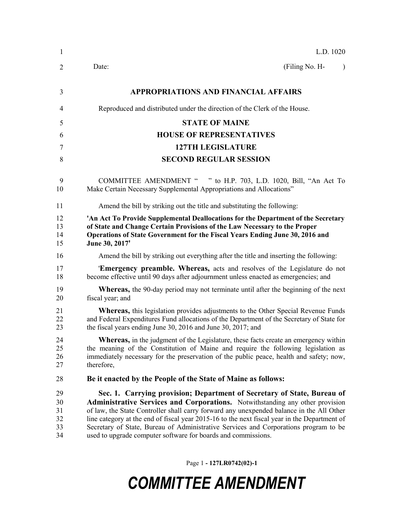| 1                                | L.D. 1020                                                                                                                                                                                                                                                                                                                                                                                                                                                                                                     |  |  |  |  |
|----------------------------------|---------------------------------------------------------------------------------------------------------------------------------------------------------------------------------------------------------------------------------------------------------------------------------------------------------------------------------------------------------------------------------------------------------------------------------------------------------------------------------------------------------------|--|--|--|--|
| 2                                | (Filing No. H-<br>Date:<br>$\lambda$                                                                                                                                                                                                                                                                                                                                                                                                                                                                          |  |  |  |  |
| 3                                | <b>APPROPRIATIONS AND FINANCIAL AFFAIRS</b>                                                                                                                                                                                                                                                                                                                                                                                                                                                                   |  |  |  |  |
| 4                                | Reproduced and distributed under the direction of the Clerk of the House.                                                                                                                                                                                                                                                                                                                                                                                                                                     |  |  |  |  |
| 5                                | <b>STATE OF MAINE</b>                                                                                                                                                                                                                                                                                                                                                                                                                                                                                         |  |  |  |  |
| 6                                | <b>HOUSE OF REPRESENTATIVES</b>                                                                                                                                                                                                                                                                                                                                                                                                                                                                               |  |  |  |  |
| 7                                | <b>127TH LEGISLATURE</b>                                                                                                                                                                                                                                                                                                                                                                                                                                                                                      |  |  |  |  |
| 8                                | <b>SECOND REGULAR SESSION</b>                                                                                                                                                                                                                                                                                                                                                                                                                                                                                 |  |  |  |  |
| 9<br>10                          | COMMITTEE AMENDMENT " " to H.P. 703, L.D. 1020, Bill, "An Act To<br>Make Certain Necessary Supplemental Appropriations and Allocations"                                                                                                                                                                                                                                                                                                                                                                       |  |  |  |  |
| 11                               | Amend the bill by striking out the title and substituting the following:                                                                                                                                                                                                                                                                                                                                                                                                                                      |  |  |  |  |
| 12<br>13<br>14<br>15             | 'An Act To Provide Supplemental Deallocations for the Department of the Secretary<br>of State and Change Certain Provisions of the Law Necessary to the Proper<br>Operations of State Government for the Fiscal Years Ending June 30, 2016 and<br>June 30, 2017'                                                                                                                                                                                                                                              |  |  |  |  |
| 16                               | Amend the bill by striking out everything after the title and inserting the following:                                                                                                                                                                                                                                                                                                                                                                                                                        |  |  |  |  |
| 17<br>18                         | <b>Emergency preamble. Whereas,</b> acts and resolves of the Legislature do not<br>become effective until 90 days after adjournment unless enacted as emergencies; and                                                                                                                                                                                                                                                                                                                                        |  |  |  |  |
| 19<br>20                         | Whereas, the 90-day period may not terminate until after the beginning of the next<br>fiscal year; and                                                                                                                                                                                                                                                                                                                                                                                                        |  |  |  |  |
| 21<br>22<br>23                   | <b>Whereas,</b> this legislation provides adjustments to the Other Special Revenue Funds<br>and Federal Expenditures Fund allocations of the Department of the Secretary of State for<br>the fiscal years ending June 30, 2016 and June 30, 2017; and                                                                                                                                                                                                                                                         |  |  |  |  |
| 24<br>25<br>26<br>27             | Whereas, in the judgment of the Legislature, these facts create an emergency within<br>the meaning of the Constitution of Maine and require the following legislation as<br>immediately necessary for the preservation of the public peace, health and safety; now,<br>therefore,                                                                                                                                                                                                                             |  |  |  |  |
| 28                               | Be it enacted by the People of the State of Maine as follows:                                                                                                                                                                                                                                                                                                                                                                                                                                                 |  |  |  |  |
| 29<br>30<br>31<br>32<br>33<br>34 | Sec. 1. Carrying provision; Department of Secretary of State, Bureau of<br>Administrative Services and Corporations. Notwithstanding any other provision<br>of law, the State Controller shall carry forward any unexpended balance in the All Other<br>line category at the end of fiscal year 2015-16 to the next fiscal year in the Department of<br>Secretary of State, Bureau of Administrative Services and Corporations program to be<br>used to upgrade computer software for boards and commissions. |  |  |  |  |

Page 1 **- 127LR0742(02)-1**

## *COMMITTEE AMENDMENT*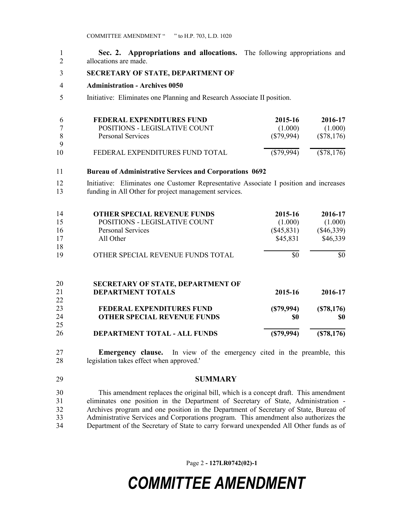| Sec. 2. Appropriations and allocations. The following appropriations and |  |
|--------------------------------------------------------------------------|--|
| allocations are made.                                                    |  |

- **SECRETARY OF STATE, DEPARTMENT OF**
- **Administration - Archives 0050**
- Initiative: Eliminates one Planning and Research Associate II position.

| $\mathbf b$ | FEDERAL EXPENDITURES FUND       | 2015-16   | 2016-17    |
|-------------|---------------------------------|-----------|------------|
|             | POSITIONS - LEGISLATIVE COUNT   | (1.000)   | (1.000)    |
|             | Personal Services               | (S79,994) | (S78, 176) |
|             |                                 |           |            |
| 10          | FEDERAL EXPENDITURES FUND TOTAL | (S79,994) | (S78, 176) |

## **Bureau of Administrative Services and Corporations 0692**

 Initiative: Eliminates one Customer Representative Associate I position and increases funding in All Other for project management services.

| 14 | <b>OTHER SPECIAL REVENUE FUNDS</b>       | 2015-16      | 2016-17      |
|----|------------------------------------------|--------------|--------------|
| 15 | POSITIONS - LEGISLATIVE COUNT            | (1.000)      | (1.000)      |
| 16 | <b>Personal Services</b>                 | $(\$45,831)$ | $(\$46,339)$ |
| 17 | All Other                                | \$45,831     | \$46,339     |
| 18 |                                          |              |              |
| 19 | OTHER SPECIAL REVENUE FUNDS TOTAL        | \$0          | \$0          |
| 20 | <b>SECRETARY OF STATE, DEPARTMENT OF</b> |              |              |
| 21 | <b>DEPARTMENT TOTALS</b>                 | 2015-16      | 2016-17      |
| 22 |                                          |              |              |
| 23 | <b>FEDERAL EXPENDITURES FUND</b>         | (S79, 994)   | (S78, 176)   |
| 24 | <b>OTHER SPECIAL REVENUE FUNDS</b>       | \$0          | \$0          |
| 25 |                                          |              |              |
| 26 | DEPARTMENT TOTAL - ALL FUNDS             | (\$79,994)   | (S78, 176)   |

 **Emergency clause.** In view of the emergency cited in the preamble, this legislation takes effect when approved.'

**SUMMARY**

 This amendment replaces the original bill, which is a concept draft. This amendment eliminates one position in the Department of Secretary of State, Administration - Archives program and one position in the Department of Secretary of State, Bureau of Administrative Services and Corporations program. This amendment also authorizes the Department of the Secretary of State to carry forward unexpended All Other funds as of

Page 2 **- 127LR0742(02)-1**

## *COMMITTEE AMENDMENT*